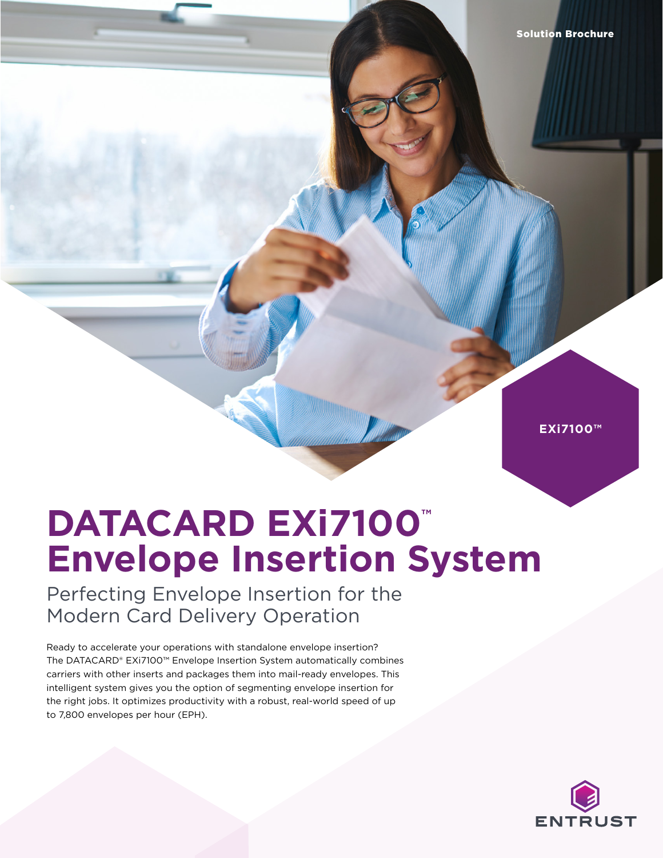**EXi7100™**

## **DATACARD EXi7100™ Envelope Insertion System**

Perfecting Envelope Insertion for the Modern Card Delivery Operation

Ready to accelerate your operations with standalone envelope insertion? The DATACARD® EXi7100™ Envelope Insertion System automatically combines carriers with other inserts and packages them into mail-ready envelopes. This intelligent system gives you the option of segmenting envelope insertion for the right jobs. It optimizes productivity with a robust, real-world speed of up to 7,800 envelopes per hour (EPH).

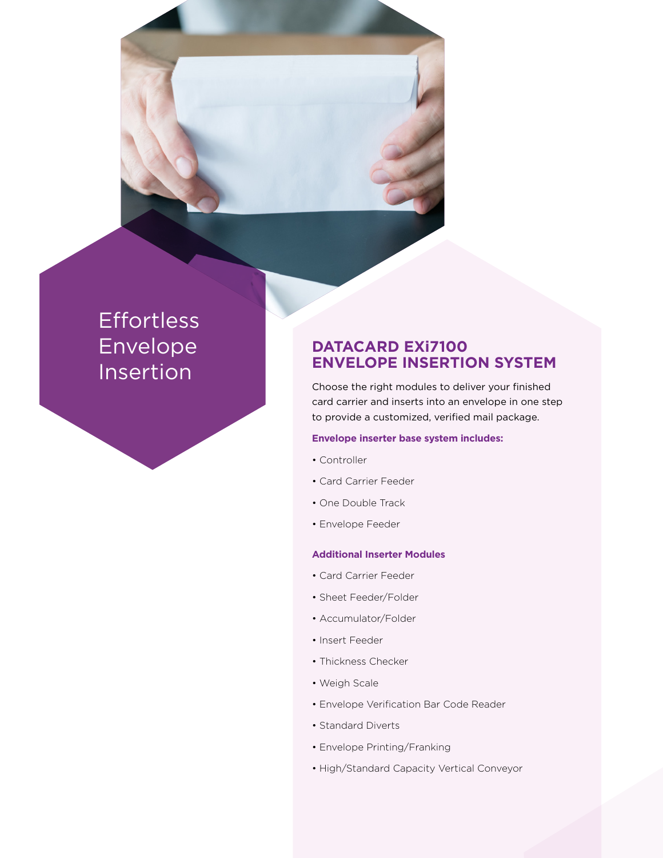## Effortless Envelope Insertion

### **DATACARD EXi7100 ENVELOPE INSERTION SYSTEM**

Choose the right modules to deliver your finished card carrier and inserts into an envelope in one step to provide a customized, verified mail package.

#### **Envelope inserter base system includes:**

- Controller
- Card Carrier Feeder
- One Double Track
- Envelope Feeder

#### **Additional Inserter Modules**

- Card Carrier Feeder
- Sheet Feeder/Folder
- Accumulator/Folder
- Insert Feeder
- Thickness Checker
- Weigh Scale
- Envelope Verification Bar Code Reader
- Standard Diverts
- Envelope Printing/Franking
- High/Standard Capacity Vertical Conveyor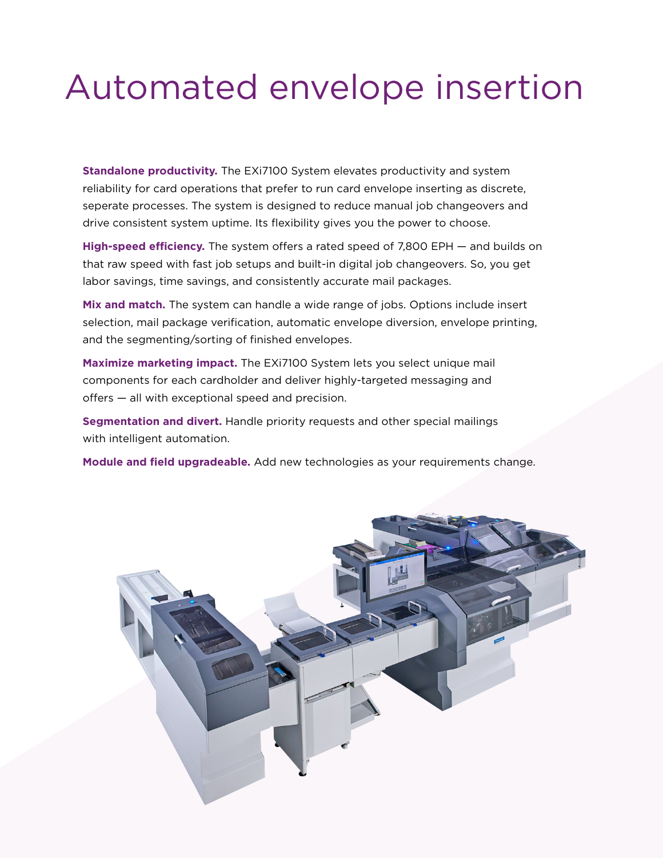# Automated envelope insertion

**Standalone productivity.** The EXi7100 System elevates productivity and system reliability for card operations that prefer to run card envelope inserting as discrete, seperate processes. The system is designed to reduce manual job changeovers and drive consistent system uptime. Its flexibility gives you the power to choose.

**High-speed efficiency.** The system offers a rated speed of 7,800 EPH — and builds on that raw speed with fast job setups and built-in digital job changeovers. So, you get labor savings, time savings, and consistently accurate mail packages.

**Mix and match.** The system can handle a wide range of jobs. Options include insert selection, mail package verification, automatic envelope diversion, envelope printing, and the segmenting/sorting of finished envelopes.

**Maximize marketing impact.** The EXi7100 System lets you select unique mail components for each cardholder and deliver highly-targeted messaging and offers — all with exceptional speed and precision.

**Segmentation and divert.** Handle priority requests and other special mailings with intelligent automation.

**Module and field upgradeable.** Add new technologies as your requirements change.